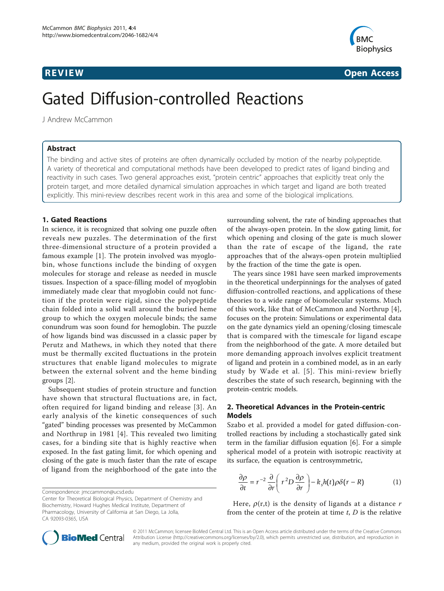

**REVIEW REVIEW CONSTRUCTER CONSTRUCTION** 

# Gated Diffusion-controlled Reactions

J Andrew McCammon

# Abstract

The binding and active sites of proteins are often dynamically occluded by motion of the nearby polypeptide. A variety of theoretical and computational methods have been developed to predict rates of ligand binding and reactivity in such cases. Two general approaches exist, "protein centric" approaches that explicitly treat only the protein target, and more detailed dynamical simulation approaches in which target and ligand are both treated explicitly. This mini-review describes recent work in this area and some of the biological implications.

# 1. Gated Reactions

In science, it is recognized that solving one puzzle often reveals new puzzles. The determination of the first three-dimensional structure of a protein provided a famous example [[1\]](#page-3-0). The protein involved was myoglobin, whose functions include the binding of oxygen molecules for storage and release as needed in muscle tissues. Inspection of a space-filling model of myoglobin immediately made clear that myoglobin could not function if the protein were rigid, since the polypeptide chain folded into a solid wall around the buried heme group to which the oxygen molecule binds; the same conundrum was soon found for hemoglobin. The puzzle of how ligands bind was discussed in a classic paper by Perutz and Mathews, in which they noted that there must be thermally excited fluctuations in the protein structures that enable ligand molecules to migrate between the external solvent and the heme binding groups [[2\]](#page-3-0).

Subsequent studies of protein structure and function have shown that structural fluctuations are, in fact, often required for ligand binding and release [[3](#page-3-0)]. An early analysis of the kinetic consequences of such "gated" binding processes was presented by McCammon and Northrup in 1981 [[4\]](#page-3-0). This revealed two limiting cases, for a binding site that is highly reactive when exposed. In the fast gating limit, for which opening and closing of the gate is much faster than the rate of escape of ligand from the neighborhood of the gate into the

Correspondence: [jmccammon@ucsd.edu](mailto:jmccammon@ucsd.edu)

Center for Theoretical Biological Physics, Department of Chemistry and Biochemistry, Howard Hughes Medical Institute, Department of Pharmacology, University of California at San Diego, La Jolla, CA 92093-0365, USA

surrounding solvent, the rate of binding approaches that of the always-open protein. In the slow gating limit, for which opening and closing of the gate is much slower than the rate of escape of the ligand, the rate approaches that of the always-open protein multiplied by the fraction of the time the gate is open.

The years since 1981 have seen marked improvements in the theoretical underpinnings for the analyses of gated diffusion-controlled reactions, and applications of these theories to a wide range of biomolecular systems. Much of this work, like that of McCammon and Northrup [[4](#page-3-0)], focuses on the protein: Simulations or experimental data on the gate dynamics yield an opening/closing timescale that is compared with the timescale for ligand escape from the neighborhood of the gate. A more detailed but more demanding approach involves explicit treatment of ligand and protein in a combined model, as in an early study by Wade et al. [[5](#page-3-0)]. This mini-review briefly describes the state of such research, beginning with the protein-centric models.

# 2. Theoretical Advances in the Protein-centric Models

Szabo et al. provided a model for gated diffusion-controlled reactions by including a stochastically gated sink term in the familiar diffusion equation [[6\]](#page-3-0). For a simple spherical model of a protein with isotropic reactivity at its surface, the equation is centrosymmetric,

$$
\frac{\partial \rho}{\partial t} = r^{-2} \frac{\partial}{\partial r} \left( r^2 D \frac{\partial \rho}{\partial r} \right) - k_s h(t) \rho \delta(r - R) \tag{1}
$$

Here,  $\rho(r,t)$  is the density of ligands at a distance r from the center of the protein at time  $t$ ,  $D$  is the relative



© 2011 McCammon; licensee BioMed Central Ltd. This is an Open Access article distributed under the terms of the Creative Commons Attribution License [\(http://creativecommons.org/licenses/by/2.0](http://creativecommons.org/licenses/by/2.0)), which permits unrestricted use, distribution, and reproduction in any medium, provided the original work is properly cited.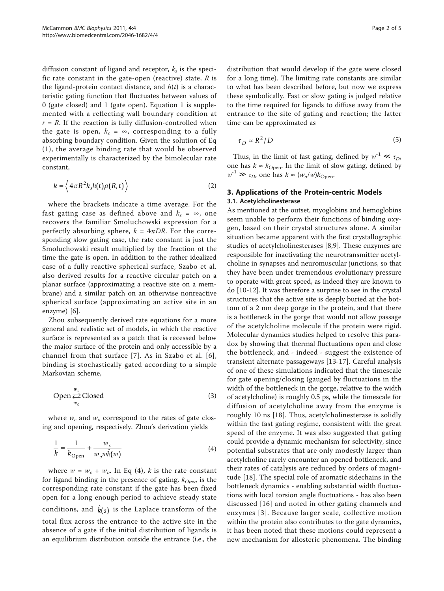diffusion constant of ligand and receptor,  $k<sub>s</sub>$  is the specific rate constant in the gate-open (reactive) state,  $R$  is the ligand-protein contact distance, and  $h(t)$  is a characteristic gating function that fluctuates between values of 0 (gate closed) and 1 (gate open). Equation 1 is supplemented with a reflecting wall boundary condition at  $r = R$ . If the reaction is fully diffusion-controlled when the gate is open,  $k_s = \infty$ , corresponding to a fully absorbing boundary condition. Given the solution of Eq (1), the average binding rate that would be observed experimentally is characterized by the bimolecular rate constant,

$$
k = \left\langle 4\pi R^2 k_s h(t) \rho(R, t) \right\rangle
$$
 (2)

where the brackets indicate a time average. For the fast gating case as defined above and  $k_s = \infty$ , one recovers the familiar Smoluchowski expression for a perfectly absorbing sphere,  $k = 4\pi D R$ . For the corresponding slow gating case, the rate constant is just the Smoluchowski result multiplied by the fraction of the time the gate is open. In addition to the rather idealized case of a fully reactive spherical surface, Szabo et al. also derived results for a reactive circular patch on a planar surface (approximating a reactive site on a membrane) and a similar patch on an otherwise nonreactive spherical surface (approximating an active site in an enzyme) [\[6](#page-3-0)].

Zhou subsequently derived rate equations for a more general and realistic set of models, in which the reactive surface is represented as a patch that is recessed below the major surface of the protein and only accessible by a channel from that surface [[7](#page-3-0)]. As in Szabo et al. [[6\]](#page-3-0), binding is stochastically gated according to a simple Markovian scheme,

$$
\text{Open} \xleftarrow{w_c} \text{Closed} \tag{3}
$$

where  $w_c$  and  $w_o$  correspond to the rates of gate closing and opening, respectively. Zhou's derivation yields

$$
\frac{1}{k} = \frac{1}{k_{\text{Open}}} + \frac{w_c}{w_o w \hat{k}(w)}\tag{4}
$$

where  $w = w_c + w_o$ . In Eq (4), k is the rate constant for ligand binding in the presence of gating,  $k_{Open}$  is the corresponding rate constant if the gate has been fixed open for a long enough period to achieve steady state conditions, and  $\hat{k}(s)$  is the Laplace transform of the total flux across the entrance to the active site in the absence of a gate if the initial distribution of ligands is an equilibrium distribution outside the entrance (i.e., the distribution that would develop if the gate were closed for a long time). The limiting rate constants are similar to what has been described before, but now we express these symbolically. Fast or slow gating is judged relative to the time required for ligands to diffuse away from the entrance to the site of gating and reaction; the latter time can be approximated as

$$
\tau_D \approx R^2/D \tag{5}
$$

Thus, in the limit of fast gating, defined by  $w^{-1} \ll \tau_D$ , one has  $k \approx k_{\text{Open}}$ . In the limit of slow gating, defined by  $w^{-1} \gg \tau_D$ , one has  $k \approx (w_o/w) k_{\text{Open}}$ .

# 3. Applications of the Protein-centric Models 3.1. Acetylcholinesterase

As mentioned at the outset, myoglobins and hemoglobins seem unable to perform their functions of binding oxygen, based on their crystal structures alone. A similar situation became apparent with the first crystallographic studies of acetylcholinesterases [[8,9\]](#page-3-0). These enzymes are responsible for inactivating the neurotransmitter acetylcholine in synapses and neuromuscular junctions, so that they have been under tremendous evolutionary pressure to operate with great speed, as indeed they are known to do [[10-12\]](#page-3-0). It was therefore a surprise to see in the crystal structures that the active site is deeply buried at the bottom of a 2 nm deep gorge in the protein, and that there is a bottleneck in the gorge that would not allow passage of the acetylcholine molecule if the protein were rigid. Molecular dynamics studies helped to resolve this paradox by showing that thermal fluctuations open and close the bottleneck, and - indeed - suggest the existence of transient alternate passageways [[13](#page-3-0)-[17\]](#page-3-0). Careful analysis of one of these simulations indicated that the timescale for gate opening/closing (gauged by fluctuations in the width of the bottleneck in the gorge, relative to the width of acetylcholine) is roughly 0.5 ps, while the timescale for diffusion of acetylcholine away from the enzyme is roughly 10 ns [[18](#page-3-0)]. Thus, acetylcholinesterase is solidly within the fast gating regime, consistent with the great speed of the enzyme. It was also suggested that gating could provide a dynamic mechanism for selectivity, since potential substrates that are only modestly larger than acetylcholine rarely encounter an opened bottleneck, and their rates of catalysis are reduced by orders of magnitude [\[18\]](#page-3-0). The special role of aromatic sidechains in the bottleneck dynamics - enabling substantial width fluctuations with local torsion angle fluctuations - has also been discussed [[16](#page-3-0)] and noted in other gating channels and enzymes [[3](#page-3-0)]. Because larger scale, collective motion within the protein also contributes to the gate dynamics, it has been noted that these motions could represent a new mechanism for allosteric phenomena. The binding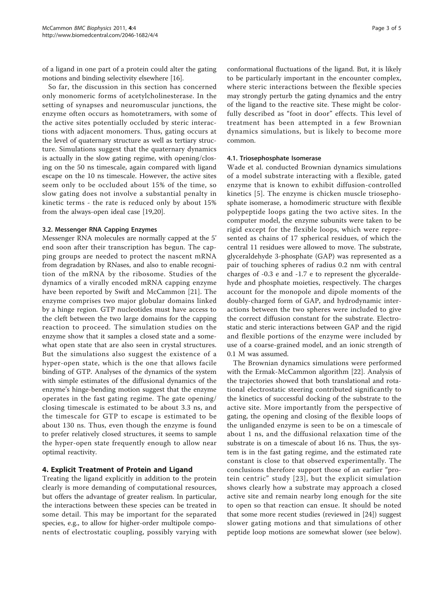of a ligand in one part of a protein could alter the gating motions and binding selectivity elsewhere [[16](#page-3-0)].

So far, the discussion in this section has concerned only monomeric forms of acetylcholinesterase. In the setting of synapses and neuromuscular junctions, the enzyme often occurs as homotetramers, with some of the active sites potentially occluded by steric interactions with adjacent monomers. Thus, gating occurs at the level of quaternary structure as well as tertiary structure. Simulations suggest that the quaternary dynamics is actually in the slow gating regime, with opening/closing on the 50 ns timescale, again compared with ligand escape on the 10 ns timescale. However, the active sites seem only to be occluded about 15% of the time, so slow gating does not involve a substantial penalty in kinetic terms - the rate is reduced only by about 15% from the always-open ideal case [\[19,20](#page-3-0)].

# 3.2. Messenger RNA Capping Enzymes

Messenger RNA molecules are normally capped at the 5' end soon after their transcription has begun. The capping groups are needed to protect the nascent mRNA from degradation by RNases, and also to enable recognition of the mRNA by the ribosome. Studies of the dynamics of a virally encoded mRNA capping enzyme have been reported by Swift and McCammon [\[21](#page-3-0)]. The enzyme comprises two major globular domains linked by a hinge region. GTP nucleotides must have access to the cleft between the two large domains for the capping reaction to proceed. The simulation studies on the enzyme show that it samples a closed state and a somewhat open state that are also seen in crystal structures. But the simulations also suggest the existence of a hyper-open state, which is the one that allows facile binding of GTP. Analyses of the dynamics of the system with simple estimates of the diffusional dynamics of the enzyme's hinge-bending motion suggest that the enzyme operates in the fast gating regime. The gate opening/ closing timescale is estimated to be about 3.3 ns, and the timescale for GTP to escape is estimated to be about 130 ns. Thus, even though the enzyme is found to prefer relatively closed structures, it seems to sample the hyper-open state frequently enough to allow near optimal reactivity.

### 4. Explicit Treatment of Protein and Ligand

Treating the ligand explicitly in addition to the protein clearly is more demanding of computational resources, but offers the advantage of greater realism. In particular, the interactions between these species can be treated in some detail. This may be important for the separated species, e.g., to allow for higher-order multipole components of electrostatic coupling, possibly varying with

conformational fluctuations of the ligand. But, it is likely to be particularly important in the encounter complex, where steric interactions between the flexible species may strongly perturb the gating dynamics and the entry of the ligand to the reactive site. These might be colorfully described as "foot in door" effects. This level of treatment has been attempted in a few Brownian dynamics simulations, but is likely to become more common.

#### 4.1. Triosephosphate Isomerase

Wade et al. conducted Brownian dynamics simulations of a model substrate interacting with a flexible, gated enzyme that is known to exhibit diffusion-controlled kinetics [\[5\]](#page-3-0). The enzyme is chicken muscle triosephosphate isomerase, a homodimeric structure with flexible polypeptide loops gating the two active sites. In the computer model, the enzyme subunits were taken to be rigid except for the flexible loops, which were represented as chains of 17 spherical residues, of which the central 11 residues were allowed to move. The substrate, glyceraldehyde 3-phosphate (GAP) was represented as a pair of touching spheres of radius 0.2 nm with central charges of -0.3 e and -1.7 e to represent the glyceraldehyde and phosphate moieties, respectively. The charges account for the monopole and dipole moments of the doubly-charged form of GAP, and hydrodynamic interactions between the two spheres were included to give the correct diffusion constant for the substrate. Electrostatic and steric interactions between GAP and the rigid and flexible portions of the enzyme were included by use of a coarse-grained model, and an ionic strength of 0.1 M was assumed.

The Brownian dynamics simulations were performed with the Ermak-McCammon algorithm [\[22](#page-3-0)]. Analysis of the trajectories showed that both translational and rotational electrostatic steering contributed significantly to the kinetics of successful docking of the substrate to the active site. More importantly from the perspective of gating, the opening and closing of the flexible loops of the unliganded enzyme is seen to be on a timescale of about 1 ns, and the diffusional relaxation time of the substrate is on a timescale of about 16 ns. Thus, the system is in the fast gating regime, and the estimated rate constant is close to that observed experimentally. The conclusions therefore support those of an earlier "protein centric" study [[23](#page-3-0)], but the explicit simulation shows clearly how a substrate may approach a closed active site and remain nearby long enough for the site to open so that reaction can ensue. It should be noted that some more recent studies (reviewed in [[24](#page-3-0)]) suggest slower gating motions and that simulations of other peptide loop motions are somewhat slower (see below).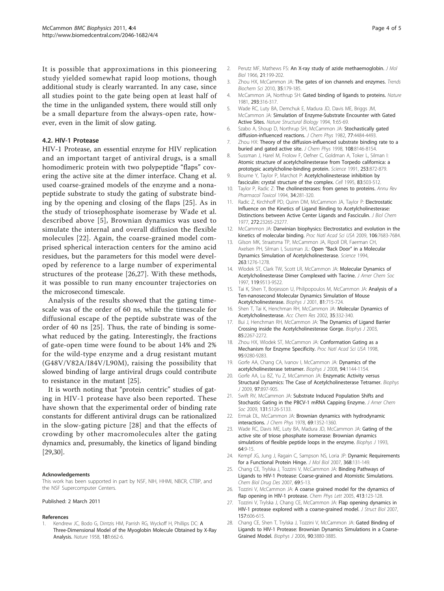<span id="page-3-0"></span>It is possible that approximations in this pioneering study yielded somewhat rapid loop motions, though additional study is clearly warranted. In any case, since all studies point to the gate being open at least half of the time in the unliganded system, there would still only be a small departure from the always-open rate, however, even in the limit of slow gating.

### 4.2. HIV-1 Protease

HIV-1 Protease, an essential enzyme for HIV replication and an important target of antiviral drugs, is a small homodimeric protein with two polypeptide "flaps" covering the active site at the dimer interface. Chang et al. used coarse-grained models of the enzyme and a nonapeptide substrate to study the gating of substrate binding by the opening and closing of the flaps [25]. As in the study of triosephosphate isomerase by Wade et al. described above [5], Brownian dynamics was used to simulate the internal and overall diffusion the flexible molecules [22]. Again, the coarse-grained model comprised spherical interaction centers for the amino acid residues, but the parameters for this model were developed by reference to a large number of experimental structures of the protease [26,27]. With these methods, it was possible to run many encounter trajectories on the microsecond timescale.

Analysis of the results showed that the gating timescale was of the order of 60 ns, while the timescale for diffusional escape of the peptide substrate was of the order of 40 ns [25]. Thus, the rate of binding is somewhat reduced by the gating. Interestingly, the fractions of gate-open time were found to be about 14% and 2% for the wild-type enzyme and a drug resistant mutant (G48V/V82A/I84V/L90M), raising the possibility that slowed binding of large antiviral drugs could contribute to resistance in the mutant [25].

It is worth noting that "protein centric" studies of gating in HIV-1 protease have also been reported. These have shown that the experimental order of binding rate constants for different antiviral drugs can be rationalized in the slow-gating picture [28] and that the effects of crowding by other macromolecules alter the gating dynamics and, presumably, the kinetics of ligand binding [[29,30\]](#page-4-0).

#### Acknowledgements

This work has been supported in part by NSF, NIH, HHMI, NBCR, CTBP, and the NSF Supercomputer Centers.

#### Published: 2 March 2011

#### References

1. Kendrew JC, Bodo G, Dintzis HM, Parrish RG, Wyckoff H, Phillips DC: A Three-Dimensional Model of the Myoglobin Molecule Obtained by X-Ray Analysis. Nature 1958, 181:662-6.

- 2. Perutz MF, Mathews FS: An X-ray study of azide methaemoglobin. J Mol Biol 1966, 21:199-202.
- 3. Zhou HX, McCammon JA: The gates of ion channels and enzymes. Trends Biochem Sci 2010, 35:179-185.
- 4. McCammon JA, Northrup SH: Gated binding of ligands to proteins. Nature 1981, 293:316-317.
- 5. Wade RC, Luty BA, Demchuk E, Madura JD, Davis ME, Briggs JM, McCammon JA: Simulation of Enzyme-Substrate Encounter with Gated Active Sites. Nature Structural Biology 1994, 1:65-69.
- 6. Szabo A, Shoup D, Northrup SH, McCammon JA: Stochastically gated diffusion-influenced reactions. J Chem Phys 1982, 77:4484-4493.
- 7. Zhou HX: Theory of the diffusion-influenced substrate binding rate to a buried and gated active site. J Chem Phys 1998, 108:8146-8154.
- 8. Sussman J, Harel M, Frolow F, Oefner C, Goldman A, Toker L, Silman I: Atomic structure of acetylcholinesterase from Torpedo californica: a prototypic acetylcholine-binding protein. Science 1991, 253:872-879.
- 9. Bourne Y, Taylor P, Marchot P: Acetylcholinesterase inhibition by fasciculin: crystal structure of the complex. Cell 1995, 83:503-512.
- 10. Taylor P, Radic Z: The cholinesterases: from genes to proteins. Annu Rev Pharmacol Toxicol 1994, 34:281-320.
- 11. Radic Z, Kirchhoff PD, Quinn DM, McCammon JA, Taylor P: Electrostatic Influence on the Kinetics of Ligand Binding to Acetylcholinesterase: Distinctions between Active Center Ligands and Fasciculin. J Biol Chem 1977, 272:23265-23277.
- 12. McCammon JA: Darwinian biophysics: Electrostatics and evolution in the kinetics of molecular binding. Proc Natl Acad Sci USA 2009, 106:7683-7684.
- 13. Gilson MK, Straatsma TP, McCammon JA, Ripoll DR, Faerman CH, Axelsen PH, Silman I, Sussman JL: Open "Back Door" in a Molecular Dynamics Simulation of Acetylcholinesterase. Science 1994, 263:1276-1278.
- 14. Wlodek ST, Clark TW, Scott LR, McCammon JA: Molecular Dynamics of Acetylcholinesterase Dimer Complexed with Tacrine. J Amer Chem Soc 1997, 119:9513-9522.
- 15. Tai K, Shen T, Borjesson U, Philipopoulos M, McCammon JA: Analysis of a Ten-nanosecond Molecular Dynamics Simulation of Mouse Acetylcholinesterase. Biophys J 2001, 81:715-724.
- 16. Shen T, Tai K, Henchman RH, McCammon JA: Molecular Dynamics of Acetylcholinesterase. Acc Chem Res 2002, 35:332-340.
- 17. Bui J, Henchman RH, McCammon JA: The Dynamics of Ligand Barrier Crossing inside the Acetylcholinesterase Gorge. Biophys J 2003, 85:2267-2272.
- 18. Zhou HX, Wlodek ST, McCammon JA: Conformation Gating as a Mechanism for Enzyme Specificity. Proc Natl Acad Sci USA 1998, 95:9280-9283.
- 19. Gorfe AA, Chang CA, Ivanov I, McCammon JA: Dynamics of the acetylcholinesterase tetramer. Biophys J 2008, 94:1144-1154.
- 20. Gorfe AA, Lu BZ, Yu Z, McCammon JA: Enzymatic Activity versus Structural Dynamics: The Case of Acetylcholinesterase Tetramer. Biophys J 2009, 97:897-905.
- 21. Swift RV, McCammon JA: Substrate Induced Population Shifts and Stochastic Gating in the PBCV-1 mRNA Capping Enzyme. J Amer Chem Soc 2009, 131:5126-5133.
- 22. Ermak DL, McCammon JA: Brownian dynamics with hydrodynamic interactions. J Chem Phys 1978, 69:1352-1360.
- 23. Wade RC, Davis ME, Luty BA, Madura JD, McCammon JA: Gating of the active site of triose phosphate isomerase: Brownian dynamics simulations of flexible peptide loops in the enzyme. Biophys J 1993, 64:9-15.
- 24. Kempf JG, Jung J, Ragain C, Sampson NS, Loria JP: Dynamic Requirements for a Functional Protein Hinge. J Mol Biol 2007, 368:131-149.
- 25. Chang CE, Trylska J, Tozzini V, McCammon JA: Binding Pathways of Ligands to HIV-1 Protease: Coarse-grained and Atomistic Simulations. Chem Biol Drug Des 2007, 69:5-13.
- 26. Tozzini V, McCammon JA: A coarse grained model for the dynamics of flap opening in HIV-1 protease. Chem Phys Lett 2005, 413:123-128.
- 27. Tozzini V, Trylska J, Chang CE, McCammon JA: Flap opening dynamics in HIV-1 protease explored with a coarse-grained model. *J Struct Biol 2007*, 157:606-615.
- 28. Chang CE, Shen T, Trylska J, Tozzini V, McCammon JA: Gated Binding of Ligands to HIV-1 Protease: Brownian Dynamics Simulations in a Coarse-Grained Model. Biophys J 2006, 90:3880-3885.